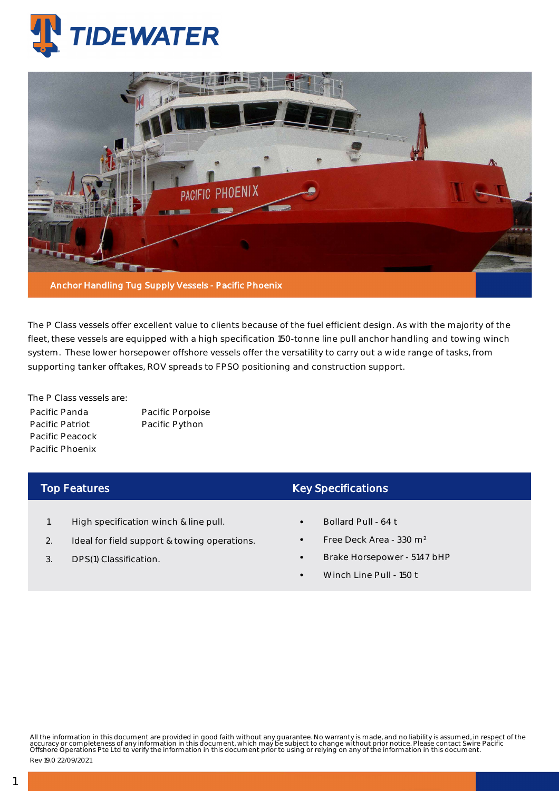



The P Class vessels offer excellent value to clients because of the fuel efficient design. As with the majority of the fleet, these vessels are equipped with a high specification 150-tonne line pull anchor handling and towing winch system. These lower horsepower offshore vessels offer the versatility to carry out a wide range of tasks, from supporting tanker offtakes, ROV spreads to FPSO positioning and construction support.

The P Class vessels are: Pacific Panda Pacific Patriot Pacific Peacock Pacific Phoenix

Pacific Porpoise Pacific Python

## Top Features

- 1. High specification winch & line pull.
- 2. Ideal for field support & towing operations.
- 3. DPS(1) Classification.

## Key Specifications

- Bollard Pull 64 t
- Free Deck Area 330 m²
- Brake Horsepower 5147 bHP
- Winch Line Pull 150 t

All the information in this document are provided in good faith without any guarantee. No warranty is made, and no liability is assumed, in respect of the<br>accuracy or completeness of any information in this document, which

Rev 19.0 22/09/2021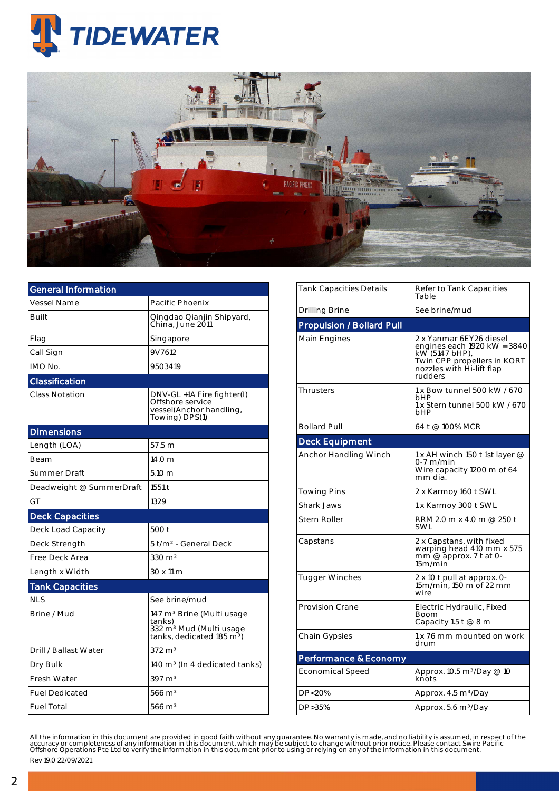



| <b>General Information</b> |                                                                                                                                 |  |  |  |  |
|----------------------------|---------------------------------------------------------------------------------------------------------------------------------|--|--|--|--|
| <b>Vessel Name</b>         | Pacific Phoenix                                                                                                                 |  |  |  |  |
| Built                      | Qingdao Qianjin Shipyard,<br>China, June 2011                                                                                   |  |  |  |  |
| Flag                       | Singapore                                                                                                                       |  |  |  |  |
| Call Sign                  | 9V7612                                                                                                                          |  |  |  |  |
| IMO No.                    | 9503419                                                                                                                         |  |  |  |  |
| Classification             |                                                                                                                                 |  |  |  |  |
| <b>Class Notation</b>      | DNV-GL +1A Fire fighter(I)<br>Offshore service<br>vessel(Anchor handling,<br>Towing) DPS(1)                                     |  |  |  |  |
| <b>Dimensions</b>          |                                                                                                                                 |  |  |  |  |
| Length (LOA)               | 57.5 <sub>m</sub>                                                                                                               |  |  |  |  |
| <b>Beam</b>                | 14.0 <sub>m</sub>                                                                                                               |  |  |  |  |
| Summer Draft               | 5.10 m                                                                                                                          |  |  |  |  |
| Deadweight @ SummerDraft   | 1551 t                                                                                                                          |  |  |  |  |
| GT                         | 1329                                                                                                                            |  |  |  |  |
| <b>Deck Capacities</b>     |                                                                                                                                 |  |  |  |  |
| Deck Load Capacity         | 500 t                                                                                                                           |  |  |  |  |
| Deck Strength              | 5 t/m <sup>2</sup> - General Deck                                                                                               |  |  |  |  |
| Free Deck Area             | $330 \text{ m}^2$                                                                                                               |  |  |  |  |
| Length x Width             | 30 x 11 m                                                                                                                       |  |  |  |  |
| <b>Tank Capacities</b>     |                                                                                                                                 |  |  |  |  |
| <b>NLS</b>                 | See brine/mud                                                                                                                   |  |  |  |  |
| Brine / Mud                | 147 m <sup>3</sup> Brine (Multi usage<br>tanks)<br>332 m <sup>3</sup> Mud (Multi usage<br>tanks, dedicated 185 m <sup>3</sup> ) |  |  |  |  |
| Drill / Ballast Water      | $372 \text{ m}^3$                                                                                                               |  |  |  |  |
| Dry Bulk                   | 140 m <sup>3</sup> (In 4 dedicated tanks)                                                                                       |  |  |  |  |
| <b>Fresh Water</b>         | $397 \text{ m}^3$                                                                                                               |  |  |  |  |
| <b>Fuel Dedicated</b>      | $566 \text{ m}^3$                                                                                                               |  |  |  |  |
| <b>Fuel Total</b>          | $566 \text{ m}^3$                                                                                                               |  |  |  |  |

| Refer to Tank Capacities<br>Table                                                                                                               |  |  |  |
|-------------------------------------------------------------------------------------------------------------------------------------------------|--|--|--|
| See brine/mud                                                                                                                                   |  |  |  |
|                                                                                                                                                 |  |  |  |
| 2 x Yanmar 6EY26 diesel<br>engines each 1920 kW = 3840<br>kW (5147 bHP),<br>Twin CPP propellers in KORT<br>nozzles with Hi-lift flap<br>rudders |  |  |  |
| 1 x Bow tunnel 500 kW / 670<br>bHP<br>1 x Stern tunnel 500 kW / 670<br>bHP                                                                      |  |  |  |
| 64 t @ 100% MCR                                                                                                                                 |  |  |  |
|                                                                                                                                                 |  |  |  |
| 1 x AH winch 150 t 1st layer @<br>0-7 m/min<br>Wire capacity 1200 m of 64<br>mm dia.                                                            |  |  |  |
| 2 x Karmoy 160 t SWL                                                                                                                            |  |  |  |
| 1 x Karmoy 300 t SWL                                                                                                                            |  |  |  |
| RRM 2.0 m x 4.0 m @ 250 t                                                                                                                       |  |  |  |
| 2 x Capstans, with fixed<br>warping head 410 mm x 575<br>mm $@$ approx. 7 t at 0-<br>15m/min                                                    |  |  |  |
| 2 x 10 t pull at approx. 0-<br>15m/min, 150 m of 22 mm                                                                                          |  |  |  |
| Electric Hydraulic, Fixed<br>Boom<br>Capacity 1.5 t $@8m$                                                                                       |  |  |  |
| 1 x 76 mm mounted on work<br>drum                                                                                                               |  |  |  |
|                                                                                                                                                 |  |  |  |
| Approx. 10.5 m <sup>3</sup> /Day @ 10<br>knots                                                                                                  |  |  |  |
| Approx. 4.5 m <sup>3</sup> /Day                                                                                                                 |  |  |  |
| Approx. 5.6 m <sup>3</sup> /Day                                                                                                                 |  |  |  |
|                                                                                                                                                 |  |  |  |
|                                                                                                                                                 |  |  |  |

All the information in this document are provided in good faith without any guarantee. No warranty is made, and no liability is assumed, in respect of the<br>accuracy or completeness of any information in this document, which Rev 19.0 22/09/2021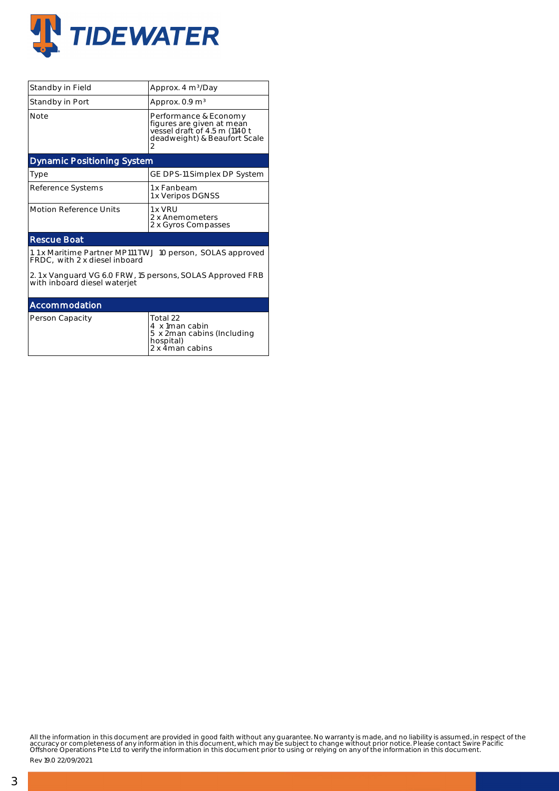

| Standby in Field                                                                            | Approx. 4 m <sup>3</sup> /Day                                                                                            |  |  |  |  |  |
|---------------------------------------------------------------------------------------------|--------------------------------------------------------------------------------------------------------------------------|--|--|--|--|--|
| Standby in Port                                                                             | Approx. $0.9 \text{ m}^3$                                                                                                |  |  |  |  |  |
| <b>Note</b>                                                                                 | Performance & Economy<br>figures are given at mean<br>vessel draft of 4.5 m (1140 t<br>deadweight) & Beaufort Scale<br>2 |  |  |  |  |  |
| <b>Dynamic Positioning System</b>                                                           |                                                                                                                          |  |  |  |  |  |
| Type                                                                                        | GE DPS-11 Simplex DP System                                                                                              |  |  |  |  |  |
| Reference Systems                                                                           | 1 x Fanbeam<br>1 x Veripos DGNSS                                                                                         |  |  |  |  |  |
| <b>Motion Reference Units</b>                                                               | $1 \times VRI$<br>2 x Anemometers<br>2 x Gyros Compasses                                                                 |  |  |  |  |  |
| <b>Rescue Boat</b>                                                                          |                                                                                                                          |  |  |  |  |  |
| 1.1 x Maritime Partner MP111 TWJ 10 person, SOLAS approved<br>FRDC, with 2 x diesel inboard |                                                                                                                          |  |  |  |  |  |
| 2.1 x Vanguard VG 6.0 FRW, 15 persons, SOLAS Approved FRB<br>with inboard diesel waterjet   |                                                                                                                          |  |  |  |  |  |
| Accommodation                                                                               |                                                                                                                          |  |  |  |  |  |
| Person Capacity                                                                             | Total 22<br>4 x 1man cabin<br>5 x 2man cabins (Including<br>hospital)<br>2 x 4man cabins                                 |  |  |  |  |  |

All the information in this document are provided in good faith without any guarantee. No warranty is made, and no liability is assumed, in respect of the<br>accuracy or completeness of any information in this document, which

Rev 19.0 22/09/2021